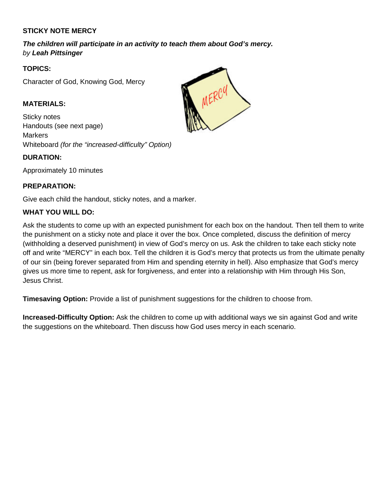# **STICKY NOTE MERCY**

*The children will participate in an activity to teach them about God's mercy. by Leah Pittsinger*

## **TOPICS:**

Character of God, Knowing God, Mercy

## **MATERIALS:**

Sticky notes Handouts (see next page) **Markers** Whiteboard *(for the "increased-difficulty" Option)*

#### **DURATION:**

Approximately 10 minutes

## **PREPARATION:**

Give each child the handout, sticky notes, and a marker.

## **WHAT YOU WILL DO:**

Ask the students to come up with an expected punishment for each box on the handout. Then tell them to write the punishment on a sticky note and place it over the box. Once completed, discuss the definition of mercy (withholding a deserved punishment) in view of God's mercy on us. Ask the children to take each sticky note off and write "MERCY" in each box. Tell the children it is God's mercy that protects us from the ultimate penalty of our sin (being forever separated from Him and spending eternity in hell). Also emphasize that God's mercy gives us more time to repent, ask for forgiveness, and enter into a relationship with Him through His Son, Jesus Christ.

**Timesaving Option:** Provide a list of punishment suggestions for the children to choose from.

**Increased-Difficulty Option:** Ask the children to come up with additional ways we sin against God and write the suggestions on the whiteboard. Then discuss how God uses mercy in each scenario.